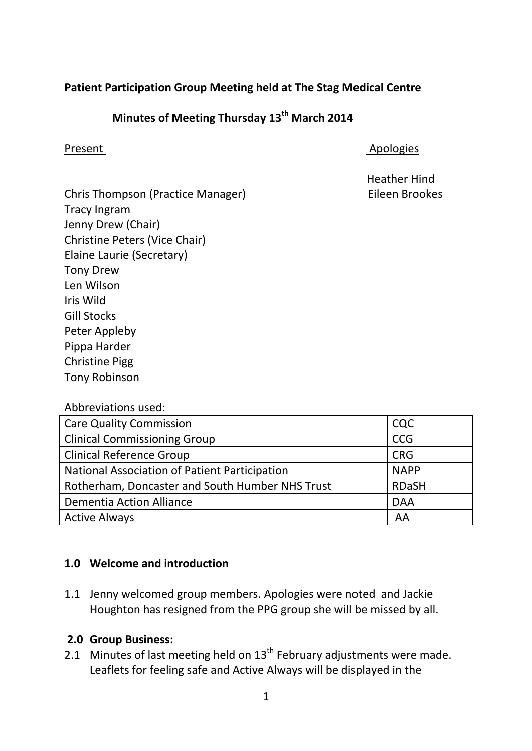# **Patient Participation Group Meeting held at The Stag Medical Centre**

# **Minutes of Meeting Thursday 13th March 2014**

#### Present Apologies

Heather Hind

Chris Thompson (Practice Manager) Eileen Brookes Tracy Ingram Jenny Drew (Chair) Christine Peters (Vice Chair) Elaine Laurie (Secretary) Tony Drew Len Wilson Iris Wild Gill Stocks Peter Appleby Pippa Harder Christine Pigg Tony Robinson

### Abbreviations used:

| <b>Care Quality Commission</b>                  | CQC          |
|-------------------------------------------------|--------------|
| <b>Clinical Commissioning Group</b>             | <b>CCG</b>   |
| <b>Clinical Reference Group</b>                 | <b>CRG</b>   |
| National Association of Patient Participation   | <b>NAPP</b>  |
| Rotherham, Doncaster and South Humber NHS Trust | <b>RDaSH</b> |
| <b>Dementia Action Alliance</b>                 | <b>DAA</b>   |
| <b>Active Always</b>                            | AA           |

# **1.0 Welcome and introduction**

1.1 Jenny welcomed group members. Apologies were noted and Jackie Houghton has resigned from the PPG group she will be missed by all.

# **2.0 Group Business:**

2.1 Minutes of last meeting held on  $13<sup>th</sup>$  February adjustments were made. Leaflets for feeling safe and Active Always will be displayed in the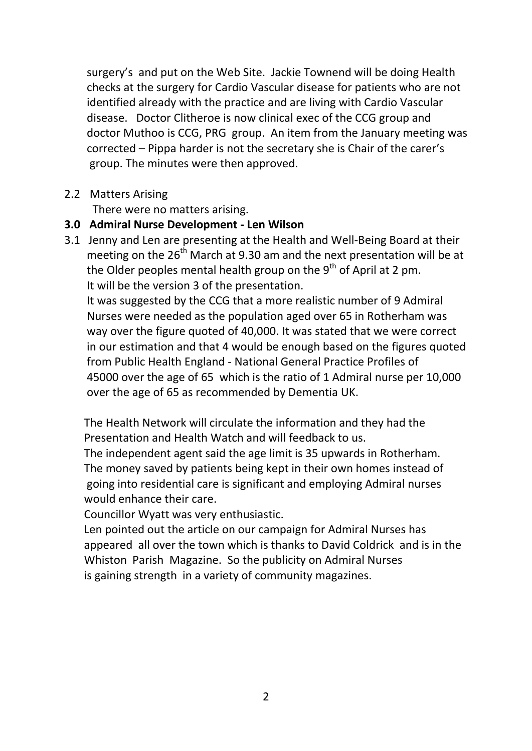surgery's and put on the Web Site. Jackie Townend will be doing Health checks at the surgery for Cardio Vascular disease for patients who are not identified already with the practice and are living with Cardio Vascular disease. Doctor Clitheroe is now clinical exec of the CCG group and doctor Muthoo is CCG, PRG group. An item from the January meeting was corrected – Pippa harder is not the secretary she is Chair of the carer's group. The minutes were then approved.

#### 2.2 Matters Arising

There were no matters arising.

### **3.0 Admiral Nurse Development - Len Wilson**

3.1 Jenny and Len are presenting at the Health and Well-Being Board at their meeting on the  $26<sup>th</sup>$  March at 9.30 am and the next presentation will be at the Older peoples mental health group on the  $9<sup>th</sup>$  of April at 2 pm. It will be the version 3 of the presentation.

 It was suggested by the CCG that a more realistic number of 9 Admiral Nurses were needed as the population aged over 65 in Rotherham was way over the figure quoted of 40,000. It was stated that we were correct in our estimation and that 4 would be enough based on the figures quoted from Public Health England - National General Practice Profiles of 45000 over the age of 65 which is the ratio of 1 Admiral nurse per 10,000 over the age of 65 as recommended by Dementia UK.

 The Health Network will circulate the information and they had the Presentation and Health Watch and will feedback to us.

 The independent agent said the age limit is 35 upwards in Rotherham. The money saved by patients being kept in their own homes instead of going into residential care is significant and employing Admiral nurses would enhance their care.

Councillor Wyatt was very enthusiastic.

 Len pointed out the article on our campaign for Admiral Nurses has appeared all over the town which is thanks to David Coldrick and is in the Whiston Parish Magazine. So the publicity on Admiral Nurses is gaining strength in a variety of community magazines.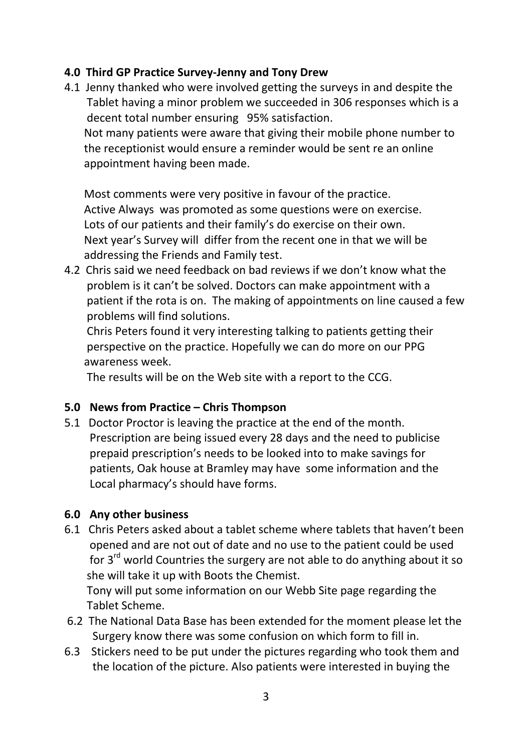# **4.0 Third GP Practice Survey-Jenny and Tony Drew**

4.1 Jenny thanked who were involved getting the surveys in and despite the Tablet having a minor problem we succeeded in 306 responses which is a decent total number ensuring 95% satisfaction. Not many patients were aware that giving their mobile phone number to the receptionist would ensure a reminder would be sent re an online

appointment having been made.

 Most comments were very positive in favour of the practice. Active Always was promoted as some questions were on exercise. Lots of our patients and their family's do exercise on their own. Next year's Survey will differ from the recent one in that we will be addressing the Friends and Family test.

4.2 Chris said we need feedback on bad reviews if we don't know what the problem is it can't be solved. Doctors can make appointment with a patient if the rota is on. The making of appointments on line caused a few problems will find solutions.

 Chris Peters found it very interesting talking to patients getting their perspective on the practice. Hopefully we can do more on our PPG awareness week.

The results will be on the Web site with a report to the CCG.

# **5.0 News from Practice – Chris Thompson**

5.1 Doctor Proctor is leaving the practice at the end of the month. Prescription are being issued every 28 days and the need to publicise prepaid prescription's needs to be looked into to make savings for patients, Oak house at Bramley may have some information and the Local pharmacy's should have forms.

# **6.0 Any other business**

6.1 Chris Peters asked about a tablet scheme where tablets that haven't been opened and are not out of date and no use to the patient could be used for  $3<sup>rd</sup>$  world Countries the surgery are not able to do anything about it so she will take it up with Boots the Chemist. Tony will put some information on our Webb Site page regarding the

Tablet Scheme.

- 6.2 The National Data Base has been extended for the moment please let the Surgery know there was some confusion on which form to fill in.
- 6.3 Stickers need to be put under the pictures regarding who took them and the location of the picture. Also patients were interested in buying the